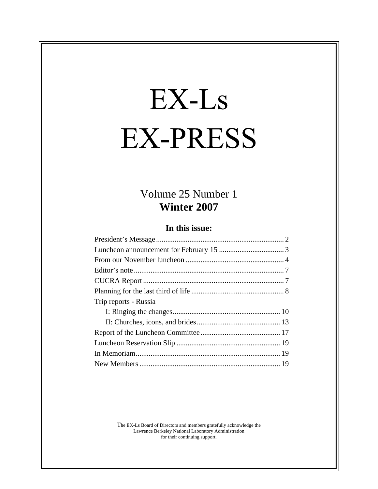# EX-Ls **EX-PRESS**

# Volume 25 Number 1<br>Winter 2007 **Winter 2007**

#### **In this issue:**

| Trip reports - Russia |  |
|-----------------------|--|
|                       |  |
|                       |  |
|                       |  |
|                       |  |
|                       |  |
|                       |  |
|                       |  |

The EX-Ls Board of Directors and members gratefully acknowledge the Lawrence Berkeley National Laboratory Administration for their continuing support.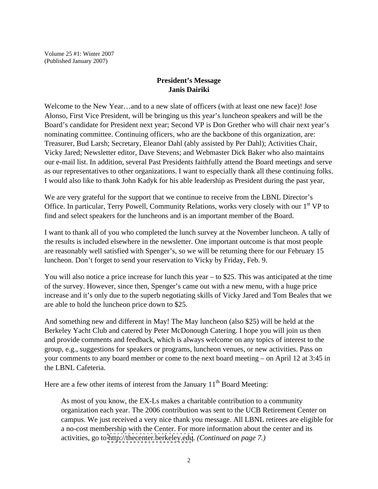Volume 25 #1: Winter 2007 (Published January 2007)

#### **President's Message Janis Dairiki**

Welcome to the New Year…and to a new slate of officers (with at least one new face)! Jose Alonso, First Vice President, will be bringing us this year's luncheon speakers and will be the Board's candidate for President next year; Second VP is Don Grether who will chair next year's nominating committee. Continuing officers, who are the backbone of this organization, are: Treasurer, Bud Larsh; Secretary, Eleanor Dahl (ably assisted by Per Dahl); Activities Chair, Vicky Jared; Newsletter editor, Dave Stevens; and Webmaster Dick Baker who also maintains our e-mail list. In addition, several Past Presidents faithfully attend the Board meetings and serve as our representatives to other organizations. I want to especially thank all these continuing folks. I would also like to thank John Kadyk for his able leadership as President during the past year,

We are very grateful for the support that we continue to receive from the LBNL Director's Office. In particular, Terry Powell, Community Relations, works very closely with our 1<sup>st</sup> VP to find and select speakers for the luncheons and is an important member of the Board.

I want to thank all of you who completed the lunch survey at the November luncheon. A tally of the results is included elsewhere in the newsletter. One important outcome is that most people are reasonably well satisfied with Spenger's, so we will be returning there for our February 15 luncheon. Don't forget to send your reservation to Vicky by Friday, Feb. 9.

You will also notice a price increase for lunch this year – to \$25. This was anticipated at the time of the survey. However, since then, Spenger's came out with a new menu, with a huge price increase and it's only due to the superb negotiating skills of Vicky Jared and Tom Beales that we are able to hold the luncheon price down to \$25.

And something new and different in May! The May luncheon (also \$25) will be held at the Berkeley Yacht Club and catered by Peter McDonough Catering. I hope you will join us then and provide comments and feedback, which is always welcome on any topics of interest to the group, e.g., suggestions for speakers or programs, luncheon venues, or new activities. Pass on your comments to any board member or come to the next board meeting – on April 12 at 3:45 in the LBNL Cafeteria.

Here are a few other items of interest from the January  $11<sup>th</sup>$  Board Meeting:

As most of you know, the EX-Ls makes a charitable contribution to a community organization each year. The 2006 contribution was sent to the UCB Retirement Center on campus. We just received a very nice thank you message. All LBNL retirees are eligible for a no-cost membership with the Center. For more information about the center and its activities, go to<http://thecenter.berkeley.edu>. *(Continued on page 7.)*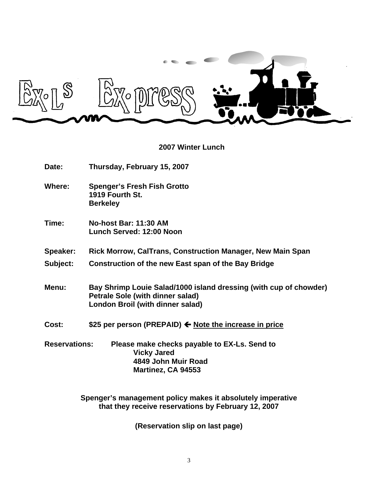

**2007 Winter Lunch**

**Date: Thursday, February 15, 2007**

**Where: Spenger's Fresh Fish Grotto 1919 Fourth St. Berkeley**

**Time: No-host Bar: 11:30 AM Lunch Served: 12:00 Noon**

**Speaker: Rick Morrow, CalTrans, Construction Manager, New Main Span**

**Subject: Construction of the new East span of the Bay Bridge**

**Menu: Bay Shrimp Louie Salad/1000 island dressing (with cup of chowder) Petrale Sole (with dinner salad) London Broil (with dinner salad)**

Cost: \$25 per person (PREPAID) ← Note the increase in price

**Reservations: Please make checks payable to EX-Ls. Send to Vicky Jared 4849 John Muir Road Martinez, CA 94553**

**Spenger's management policy makes it absolutely imperative that they receive reservations by February 12, 2007**

**(Reservation slip on last page)**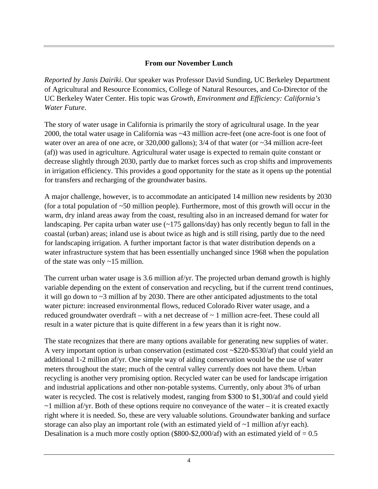#### **From our November Lunch**

*Reported by Janis Dairiki*. Our speaker was Professor David Sunding, UC Berkeley Department of Agricultural and Resource Economics, College of Natural Resources, and Co-Director of the UC Berkeley Water Center. His topic was *Growth, Environment and Efficiency: California's Water Future*.

The story of water usage in California is primarily the story of agricultural usage. In the year 2000, the total water usage in California was ~43 million acre-feet (one acre-foot is one foot of water over an area of one acre, or 320,000 gallons); 3/4 of that water (or ~34 million acre-feet (af)) was used in agriculture. Agricultural water usage is expected to remain quite constant or decrease slightly through 2030, partly due to market forces such as crop shifts and improvements in irrigation efficiency. This provides a good opportunity for the state as it opens up the potential for transfers and recharging of the groundwater basins.

A major challenge, however, is to accommodate an anticipated 14 million new residents by 2030 (for a total population of  $\sim 50$  million people). Furthermore, most of this growth will occur in the warm, dry inland areas away from the coast, resulting also in an increased demand for water for landscaping. Per capita urban water use  $(\sim 175 \text{ gallons/day})$  has only recently begun to fall in the coastal (urban) areas; inland use is about twice as high and is still rising, partly due to the need for landscaping irrigation. A further important factor is that water distribution depends on a water infrastructure system that has been essentially unchanged since 1968 when the population of the state was only ~15 million.

The current urban water usage is 3.6 million af/yr. The projected urban demand growth is highly variable depending on the extent of conservation and recycling, but if the current trend continues, it will go down to ~3 million af by 2030. There are other anticipated adjustments to the total water picture: increased environmental flows, reduced Colorado River water usage, and a reduced groundwater overdraft – with a net decrease of  $\sim 1$  million acre-feet. These could all result in a water picture that is quite different in a few years than it is right now.

The state recognizes that there are many options available for generating new supplies of water. A very important option is urban conservation (estimated cost ~\$220-\$530/af) that could yield an additional 1-2 million af/yr. One simple way of aiding conservation would be the use of water meters throughout the state; much of the central valley currently does not have them. Urban recycling is another very promising option. Recycled water can be used for landscape irrigation and industrial applications and other non-potable systems. Currently, only about 3% of urban water is recycled. The cost is relatively modest, ranging from \$300 to \$1,300/af and could yield  $\sim$ 1 million af/yr. Both of these options require no conveyance of the water – it is created exactly right where it is needed. So, these are very valuable solutions. Groundwater banking and surface storage can also play an important role (with an estimated yield of ~1 million af/yr each). Desalination is a much more costly option (\$800-\$2,000/af) with an estimated yield of  $= 0.5$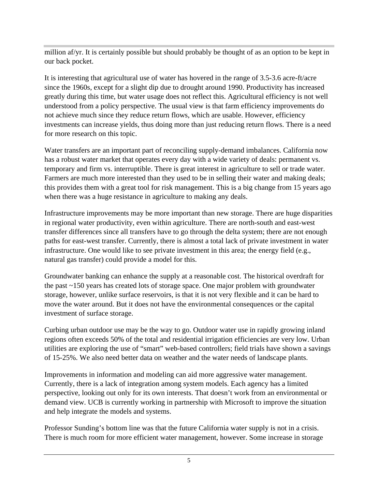million af/yr. It is certainly possible but should probably be thought of as an option to be kept in our back pocket.

It is interesting that agricultural use of water has hovered in the range of 3.5-3.6 acre-ft/acre since the 1960s, except for a slight dip due to drought around 1990. Productivity has increased greatly during this time, but water usage does not reflect this. Agricultural efficiency is not well understood from a policy perspective. The usual view is that farm efficiency improvements do not achieve much since they reduce return flows, which are usable. However, efficiency investments can increase yields, thus doing more than just reducing return flows. There is a need for more research on this topic.

Water transfers are an important part of reconciling supply-demand imbalances. California now has a robust water market that operates every day with a wide variety of deals: permanent vs. temporary and firm vs. interruptible. There is great interest in agriculture to sell or trade water. Farmers are much more interested than they used to be in selling their water and making deals; this provides them with a great tool for risk management. This is a big change from 15 years ago when there was a huge resistance in agriculture to making any deals.

Infrastructure improvements may be more important than new storage. There are huge disparities in regional water productivity, even within agriculture. There are north-south and east-west transfer differences since all transfers have to go through the delta system; there are not enough paths for east-west transfer. Currently, there is almost a total lack of private investment in water infrastructure. One would like to see private investment in this area; the energy field (e.g., natural gas transfer) could provide a model for this.

Groundwater banking can enhance the supply at a reasonable cost. The historical overdraft for the past ~150 years has created lots of storage space. One major problem with groundwater storage, however, unlike surface reservoirs, is that it is not very flexible and it can be hard to move the water around. But it does not have the environmental consequences or the capital investment of surface storage.

Curbing urban outdoor use may be the way to go. Outdoor water use in rapidly growing inland regions often exceeds 50% of the total and residential irrigation efficiencies are very low. Urban utilities are exploring the use of "smart" web-based controllers; field trials have shown a savings of 15-25%. We also need better data on weather and the water needs of landscape plants.

Improvements in information and modeling can aid more aggressive water management. Currently, there is a lack of integration among system models. Each agency has a limited perspective, looking out only for its own interests. That doesn't work from an environmental or demand view. UCB is currently working in partnership with Microsoft to improve the situation and help integrate the models and systems.

Professor Sunding's bottom line was that the future California water supply is not in a crisis. There is much room for more efficient water management, however. Some increase in storage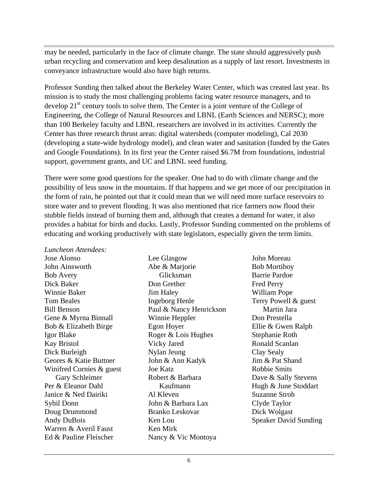may be needed, particularly in the face of climate change. The state should aggressively push urban recycling and conservation and keep desalination as a supply of last resort. Investments in conveyance infrastructure would also have high returns.

Professor Sunding then talked about the Berkeley Water Center, which was created last year. Its mission is to study the most challenging problems facing water resource managers, and to develop  $21<sup>st</sup>$  century tools to solve them. The Center is a joint venture of the College of Engineering, the College of Natural Resources and LBNL (Earth Sciences and NERSC); more than 100 Berkeley faculty and LBNL researchers are involved in its activities. Currently the Center has three research thrust areas: digital watersheds (computer modeling), Cal 2030 (developing a state-wide hydrology model), and clean water and sanitation (funded by the Gates and Google Foundations). In its first year the Center raised \$6.7M from foundations, industrial support, government grants, and UC and LBNL seed funding.

There were some good questions for the speaker. One had to do with climate change and the possibility of less snow in the mountains. If that happens and we get more of our precipitation in the form of rain, he pointed out that it could mean that we will need more surface reservoirs to store water and to prevent flooding. It was also mentioned that rice farmers now flood their stubble fields instead of burning them and, although that creates a demand for water, it also provides a habitat for birds and ducks. Lastly, Professor Sunding commented on the problems of educating and working productively with state legislators, especially given the term limits.

#### *Luncheon Attendees:*

Gene & Myrna Binnall Winnie Heppler Don Prestella Geores & Katie Buttner John & Ann Kadyk Jim & Pat Shand Winifred Cornies & guest 500 Units Cornies Apple Smits Robbie Smits Janice & Ned Dairiki Warren & Averil Faust

John Ainsworth **Solution Abex Marjorie Bob Mortiboy Bob Mortiboy** Bob Avery Glicksman Barrie Pardoe Dick Baker **Don Grether Don Grether Fred Perry** Winnie Baker **South State State State State State State State State State State State State State State State State State State State State State State State State State State State State State State State State State Stat** Tom Beales **Terry Powell & guest** Terry Powell & guest Bill Benson **Branch Branch Branch Branch Branch Branch Branch Branch Branch Branch Branch Branch Branch Branch Branch Branch Branch Branch Branch Branch Branch Branch Branch Branch Branch Branch Branch Branch Branch Branch** Bob & Elizabeth Birge Igor Blake **International Road Communist Road Communist Stephanie Roth** Kay Bristol Vicky Jared Dick Burleigh **Samuel School School School School** School School School School School School School School School School School School School School School School School School School School School School School School Sch Gary Schleimer Robert & Barbara Dave & Sally Stevens Per & Eleanor Dahl Kaufmann Hugh & June Stoddart Sybil Donn Sybil Donn Subara Lax Clyde Taylor Doug Drummond Branko Leskovar Dick Wolgast Andy DuBois Ken Lou Speaker David SundingEd & Pauline Fleischer Nancy & Vic Montoya Abe & Marjorie Don Grether Fred Perry Jim Haley Ingeborg Henle Terry Powell & guest Paul & Nancy Henrickson Martin Jara Winnie Heppler Egon Hoyer Ellie & Gwen Ralph Roger & Lois Hughes Stephanie Roth Nylan Jeung John & Ann Kadyk Joe Katz Al Kleven Suzanne Stroh John & Barbara Lax Branko Leskovar Ken Mirk Nancy & Vic Montoya

Jose Alonso Lee Glasgow **Lee Glasgow** John Moreau Glicksman Barrie Pardoe John Moreau Bob Mortiboy Barrie Pardoe Fred Perry William Pope Martin Jara Don Prestella Ellie & Gwen Ralph Stephanie Roth Ronald Scanlan Clay Sealy Jim & Pat Shand Robbie Smits Suzanne Stroh Clyde Taylor Dick Wolgast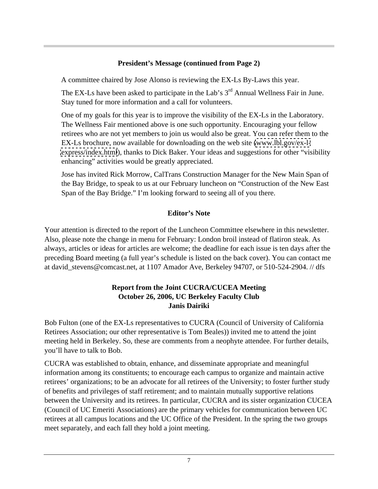#### **President's Message (continued from Page 2)**

A committee chaired by Jose Alonso is reviewing the EX-Ls By-Laws this year.

The EX-Ls have been asked to participate in the Lab's 3<sup>rd</sup> Annual Wellness Fair in June. Stay tuned for more information and a call for volunteers.

One of my goals for this year is to improve the visibility of the EX-Ls in the Laboratory. The Wellness Fair mentioned above is one such opportunity. Encouraging your fellow retirees who are not yet members to join us would also be great. You can refer them to the EX-Ls brochure, now available for downloading on the web site [\(www.lbl.gov/ex-l](http://www.lbl.gov/ex-l-) <express/index.html>), thanks to Dick Baker. Your ideas and suggestions for other "visibility enhancing" activities would be greatly appreciated.

Jose has invited Rick Morrow, CalTrans Construction Manager for the New Main Span of the Bay Bridge, to speak to us at our February luncheon on "Construction of the New East Span of the Bay Bridge." I'm looking forward to seeing all of you there.

# **Editor's Note**

Your attention is directed to the report of the Luncheon Committee elsewhere in this newsletter. Also, please note the change in menu for February: London broil instead of flatiron steak. As always, articles or ideas for articles are welcome; the deadline for each issue is ten days after the preceding Board meeting (a full year's schedule is listed on the back cover). You can contact me at david\_stevens@comcast.net, at 1107 Amador Ave, Berkeley 94707, or 510-524-2904. // dfs

#### **Report from the Joint CUCRA/CUCEA Meeting October 26, 2006, UC Berkeley Faculty Club Janis Dairiki**

Bob Fulton (one of the EX-Ls representatives to CUCRA (Council of University of California Retirees Association; our other representative is Tom Beales)) invited me to attend the joint meeting held in Berkeley. So, these are comments from a neophyte attendee. For further details, you'll have to talk to Bob.

CUCRA was established to obtain, enhance, and disseminate appropriate and meaningful information among its constituents; to encourage each campus to organize and maintain active retirees' organizations; to be an advocate for all retirees of the University; to foster further study of benefits and privileges of staff retirement; and to maintain mutually supportive relations between the University and its retirees. In particular, CUCRA and its sister organization CUCEA (Council of UC Emeriti Associations) are the primary vehicles for communication between UC retirees at all campus locations and the UC Office of the President. In the spring the two groups meet separately, and each fall they hold a joint meeting.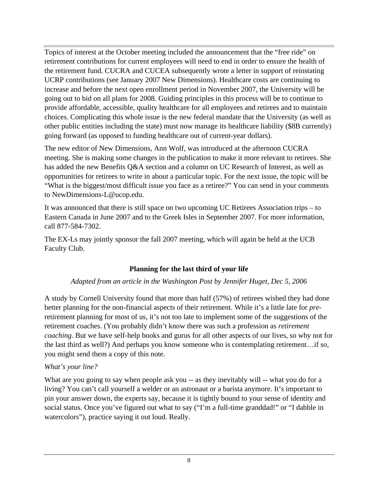Topics of interest at the October meeting included the announcement that the "free ride" on retirement contributions for current employees will need to end in order to ensure the health of the retirement fund. CUCRA and CUCEA subsequently wrote a letter in support of reinstating UCRP contributions (see January 2007 New Dimensions). Healthcare costs are continuing to increase and before the next open enrollment period in November 2007, the University will be going out to bid on all plans for 2008. Guiding principles in this process will be to continue to provide affordable, accessible, quality healthcare for all employees and retirees and to maintain choices. Complicating this whole issue is the new federal mandate that the University (as well as other public entities including the state) must now manage its healthcare liability (\$8B currently) going forward (as opposed to funding healthcare out of current-year dollars).

The new editor of New Dimensions, Ann Wolf, was introduced at the afternoon CUCRA meeting. She is making some changes in the publication to make it more relevant to retirees. She has added the new Benefits Q&A section and a column on UC Research of Interest, as well as opportunities for retirees to write in about a particular topic. For the next issue, the topic will be "What is the biggest/most difficult issue you face as a retiree?" You can send in your comments to NewDimensions-L@ucop.edu.

It was announced that there is still space on two upcoming UC Retirees Association trips – to Eastern Canada in June 2007 and to the Greek Isles in September 2007. For more information, call 877-584-7302.

The EX-Ls may jointly sponsor the fall 2007 meeting, which will again be held at the UCB Faculty Club. The state of the state of the state of the state of the state of the state of the state of the state of the state of the state of the state of the state of the state of the state of the state of the state of

#### **Planning for the last third of your life**

#### *Adapted from an article in the Washington Post by Jennifer Huget, Dec 5, 2006*

A study by Cornell University found that more than half (57%) of retirees wished they had done better planning for the non-financial aspects of their retirement. While it's a little late for *pre*retirement planning for most of us, it's not too late to implement some of the suggestions of the retirement coaches. (You probably didn't know there was such a profession as *retirement coaching*. But we have self-help books and gurus for all other aspects of our lives, so why not for the last third as well?) And perhaps you know someone who is contemplating retirement…if so, you might send them a copy of this note.

#### *What's your line?*

What are you going to say when people ask you -- as they inevitably will -- what you do for a living? You can't call yourself a welder or an astronaut or a barista anymore. It's important to pin your answer down, the experts say, because it is tightly bound to your sense of identity and social status. Once you've figured out what to say ("I'm a full-time granddad!" or "I dabble in watercolors"), practice saying it out loud. Really.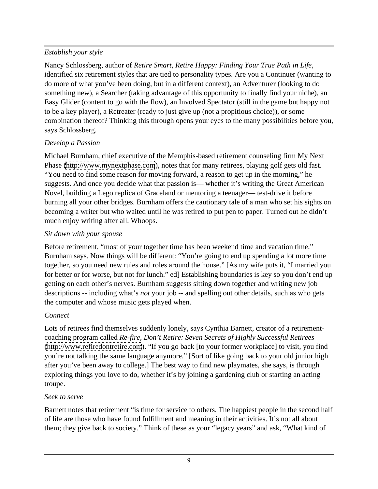#### *Establish your style*

Nancy Schlossberg, author of *Retire Smart*, *Retire Happy: Finding Your True Path in Life,* identified six retirement styles that are tied to personality types. Are you a Continuer (wanting to do more of what you've been doing, but in a different context), an Adventurer (looking to do something new), a Searcher (taking advantage of this opportunity to finally find your niche), an Easy Glider (content to go with the flow), an Involved Spectator (still in the game but happy not to be a key player), a Retreater (ready to just give up (not a propitious choice)), or some combination thereof? Thinking this through opens your eyes to the many possibilities before you, says Schlossberg.

#### *Develop a Passion*

Michael Burnham, chief executive of the Memphis-based retirement counseling firm My Next Phase [\(http://www.mynextphase.com](http://www.mynextphase.com)), notes that for many retirees, playing golf gets old fast. "You need to find some reason for moving forward, a reason to get up in the morning," he suggests. And once you decide what that passion is— whether it's writing the Great American Novel, building a Lego replica of Graceland or mentoring a teenager— test-drive it before burning all your other bridges. Burnham offers the cautionary tale of a man who set his sights on becoming a writer but who waited until he was retired to put pen to paper. Turned out he didn't much enjoy writing after all. Whoops.

#### *Sit down with your spouse*

Before retirement, "most of your together time has been weekend time and vacation time," Burnham says. Now things will be different: "You're going to end up spending a lot more time together, so you need new rules and roles around the house." [As my wife puts it, "I married you for better or for worse, but not for lunch." ed] Establishing boundaries is key so you don't end up getting on each other's nerves. Burnham suggests sitting down together and writing new job descriptions -- including what's *not* your job -- and spelling out other details, such as who gets the computer and whose music gets played when.

#### *Connect*

Lots of retirees find themselves suddenly lonely, says Cynthia Barnett, creator of a retirement coaching program called *Re-fire, Don't Retire: Seven Secrets of Highly Successful Retirees* [\(http://www.refiredontretire.com](http://www.refiredontretire.com)). "If you go back [to your former workplace] to visit, you find you're not talking the same language anymore." [Sort of like going back to your old junior high after you've been away to college.] The best way to find new playmates, she says, is through exploring things you love to do, whether it's by joining a gardening club or starting an acting troupe.

#### *Seek to serve*

Barnett notes that retirement "is time for service to others. The happiest people in the second half of life are those who have found fulfillment and meaning in their activities. It's not all about them; they give back to society." Think of these as your "legacy years" and ask, "What kind of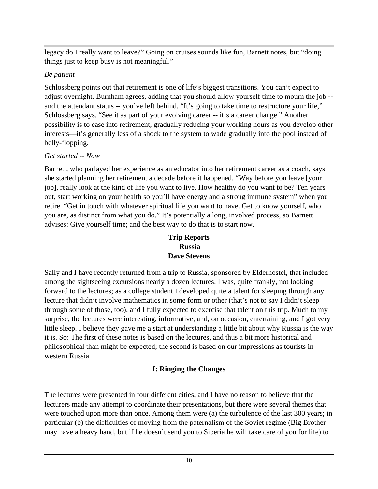legacy do I really want to leave?" Going on cruises sounds like fun, Barnett notes, but "doing things just to keep busy is not meaningful."

#### *Be patient*

Schlossberg points out that retirement is one of life's biggest transitions. You can't expect to adjust overnight. Burnham agrees, adding that you should allow yourself time to mourn the job - and the attendant status -- you've left behind. "It's going to take time to restructure your life," Schlossberg says. "See it as part of your evolving career -- it's a career change." Another possibility is to ease into retirement, gradually reducing your working hours as you develop other interests—it's generally less of a shock to the system to wade gradually into the pool instead of belly-flopping.

#### *Get started -- Now*

Barnett, who parlayed her experience as an educator into her retirement career as a coach, says she started planning her retirement a decade before it happened. "Way before you leave [your job], really look at the kind of life you want to live. How healthy do you want to be? Ten years out, start working on your health so you'll have energy and a strong immune system" when you retire. "Get in touch with whatever spiritual life you want to have. Get to know yourself, who you are, as distinct from what you do." It's potentially a long, involved process, so Barnett advises: Give yourself time; and the best way to do that is to start now.

#### **Trip Reports Russia Dave Stevens**

Sally and I have recently returned from a trip to Russia, sponsored by Elderhostel, that included among the sightseeing excursions nearly a dozen lectures. I was, quite frankly, not looking forward to the lectures; as a college student I developed quite a talent for sleeping through any lecture that didn't involve mathematics in some form or other (that's not to say I didn't sleep through some of those, too), and I fully expected to exercise that talent on this trip. Much to my surprise, the lectures were interesting, informative, and, on occasion, entertaining, and I got very little sleep. I believe they gave me a start at understanding a little bit about why Russia is the way it is. So: The first of these notes is based on the lectures, and thus a bit more historical and philosophical than might be expected; the second is based on our impressions as tourists in western Russia.

#### **I: Ringing the Changes**

The lectures were presented in four different cities, and I have no reason to believe that the lecturers made any attempt to coordinate their presentations, but there were several themes that were touched upon more than once. Among them were (a) the turbulence of the last 300 years; in particular (b) the difficulties of moving from the paternalism of the Soviet regime (Big Brother may have a heavy hand, but if he doesn't send you to Siberia he will take care of you for life) to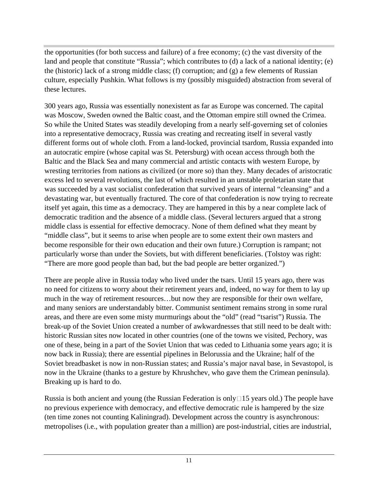the opportunities (for both success and failure) of a free economy; (c) the vast diversity of the land and people that constitute "Russia"; which contributes to (d) a lack of a national identity; (e) the (historic) lack of a strong middle class; (f) corruption; and (g) a few elements of Russian culture, especially Pushkin. What follows is my (possibly misguided) abstraction from several of these lectures.

300 years ago, Russia was essentially nonexistent as far as Europe was concerned. The capital was Moscow, Sweden owned the Baltic coast, and the Ottoman empire still owned the Crimea. So while the United States was steadily developing from a nearly self-governing set of colonies into a representative democracy, Russia was creating and recreating itself in several vastly different forms out of whole cloth. From a land-locked, provincial tsardom, Russia expanded into an autocratic empire (whose capital was St. Petersburg) with ocean access through both the Baltic and the Black Sea and many commercial and artistic contacts with western Europe, by wresting territories from nations as civilized (or more so) than they. Many decades of aristocratic excess led to several revolutions, the last of which resulted in an unstable proletarian state that was succeeded by a vast socialist confederation that survived years of internal "cleansing" and a devastating war, but eventually fractured. The core of that confederation is now trying to recreate itself yet again, this time as a democracy. They are hampered in this by a near complete lack of democratic tradition and the absence of a middle class. (Several lecturers argued that a strong middle class is essential for effective democracy. None of them defined what they meant by "middle class", but it seems to arise when people are to some extent their own masters and become responsible for their own education and their own future.) Corruption is rampant; not particularly worse than under the Soviets, but with different beneficiaries. (Tolstoy was right: "There are more good people than bad, but the bad people are better organized.")

There are people alive in Russia today who lived under the tsars. Until 15 years ago, there was no need for citizens to worry about their retirement years and, indeed, no way for them to lay up much in the way of retirement resources…but now they are responsible for their own welfare, and many seniors are understandably bitter. Communist sentiment remains strong in some rural areas, and there are even some misty murmurings about the "old" (read "tsarist") Russia. The break-up of the Soviet Union created a number of awkwardnesses that still need to be dealt with: historic Russian sites now located in other countries (one of the towns we visited, Pechory, was one of these, being in a part of the Soviet Union that was ceded to Lithuania some years ago; it is now back in Russia); there are essential pipelines in Belorussia and the Ukraine; half of the Soviet breadbasket is now in non-Russian states; and Russia's major naval base, in Sevastopol, is now in the Ukraine (thanks to a gesture by Khrushchev, who gave them the Crimean peninsula). Breaking up is hard to do.

Russia is both ancient and young (the Russian Federation is only  $\Box$  15 years old.) The people have no previous experience with democracy, and effective democratic rule is hampered by the size (ten time zones not counting Kaliningrad). Development across the country is asynchronous: metropolises (i.e., with population greater than a million) are post-industrial, cities are industrial,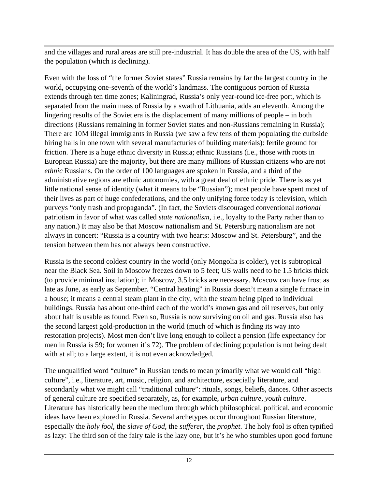and the villages and rural areas are still pre-industrial. It has double the area of the US, with half the population (which is declining).

Even with the loss of "the former Soviet states" Russia remains by far the largest country in the world, occupying one-seventh of the world's landmass. The contiguous portion of Russia extends through ten time zones; Kaliningrad, Russia's only year-round ice-free port, which is separated from the main mass of Russia by a swath of Lithuania, adds an eleventh. Among the lingering results of the Soviet era is the displacement of many millions of people – in both directions (Russians remaining in former Soviet states and non-Russians remaining in Russia); There are 10M illegal immigrants in Russia (we saw a few tens of them populating the curbside hiring halls in one town with several manufacturies of building materials): fertile ground for friction. There is a huge ethnic diversity in Russia; ethnic Russians (i.e., those with roots in European Russia) are the majority, but there are many millions of Russian citizens who are not *ethnic* Russians. On the order of 100 languages are spoken in Russia, and a third of the administrative regions are ethnic autonomies, with a great deal of ethnic pride. There is as yet little national sense of identity (what it means to be "Russian"); most people have spent most of their lives as part of huge confederations, and the only unifying force today is television, which purveys "only trash and propaganda". (In fact, the Soviets discouraged conventional *national* patriotism in favor of what was called *state nationalism*, i.e., loyalty to the Party rather than to any nation.) It may also be that Moscow nationalism and St. Petersburg nationalism are not always in concert: "Russia is a country with two hearts: Moscow and St. Petersburg", and the tension between them has not always been constructive.

Russia is the second coldest country in the world (only Mongolia is colder), yet is subtropical near the Black Sea. Soil in Moscow freezes down to 5 feet; US walls need to be 1.5 bricks thick (to provide minimal insulation); in Moscow, 3.5 bricks are necessary. Moscow can have frost as late as June, as early as September. "Central heating" in Russia doesn't mean a single furnace in a house; it means a central steam plant in the city, with the steam being piped to individual buildings. Russia has about one-third each of the world's known gas and oil reserves, but only about half is usable as found. Even so, Russia is now surviving on oil and gas. Russia also has the second largest gold-production in the world (much of which is finding its way into restoration projects). Most men don't live long enough to collect a pension (life expectancy for men in Russia is 59; for women it's 72). The problem of declining population is not being dealt with at all; to a large extent, it is not even acknowledged.

The unqualified word "culture" in Russian tends to mean primarily what we would call "high culture", i.e., literature, art, music, religion, and architecture, especially literature, and secondarily what we might call "traditional culture": rituals, songs, beliefs, dances. Other aspects of general culture are specified separately, as, for example, *urban culture*, *youth culture*. Literature has historically been the medium through which philosophical, political, and economic ideas have been explored in Russia. Several archetypes occur throughout Russian literature, especially the *holy fool*, the *slave of God*, the *sufferer*, the *prophet*. The holy fool is often typified as lazy: The third son of the fairy tale is the lazy one, but it's he who stumbles upon good fortune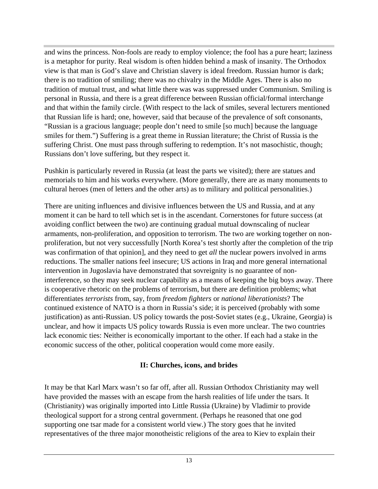and wins the princess. Non-fools are ready to employ violence; the fool has a pure heart; laziness is a metaphor for purity. Real wisdom is often hidden behind a mask of insanity. The Orthodox view is that man is God's slave and Christian slavery is ideal freedom. Russian humor is dark; there is no tradition of smiling; there was no chivalry in the Middle Ages. There is also no tradition of mutual trust, and what little there was was suppressed under Communism. Smiling is personal in Russia, and there is a great difference between Russian official/formal interchange and that within the family circle. (With respect to the lack of smiles, several lecturers mentioned that Russian life is hard; one, however, said that because of the prevalence of soft consonants, "Russian is a gracious language; people don't need to smile [so much] because the language smiles for them.") Suffering is a great theme in Russian literature; the Christ of Russia is the suffering Christ. One must pass through suffering to redemption. It's not masochistic, though; Russians don't love suffering, but they respect it.

Pushkin is particularly revered in Russia (at least the parts we visited); there are statues and memorials to him and his works everywhere. (More generally, there are as many monuments to cultural heroes (men of letters and the other arts) as to military and political personalities.)

There are uniting influences and divisive influences between the US and Russia, and at any moment it can be hard to tell which set is in the ascendant. Cornerstones for future success (at avoiding conflict between the two) are continuing gradual mutual downscaling of nuclear armaments, non-proliferation, and opposition to terrorism. The two are working together on non proliferation, but not very successfully [North Korea's test shortly after the completion of the trip was confirmation of that opinion], and they need to get *all* the nuclear powers involved in arms reductions. The smaller nations feel insecure; US actions in Iraq and more general international intervention in Jugoslavia have demonstrated that sovreignity is no guarantee of noninterference, so they may seek nuclear capability as a means of keeping the big boys away. There is cooperative rhetoric on the problems of terrorism, but there are definition problems; what differentiates *terrorists* from, say, from *freedom fighters* or *national liberationists*? The continued existence of NATO is a thorn in Russia's side; it is perceived (probably with some justification) as anti-Russian. US policy towards the post-Soviet states (e.g., Ukraine, Georgia) is unclear, and how it impacts US policy towards Russia is even more unclear. The two countries lack economic ties: Neither is economically important to the other. If each had a stake in the economic success of the other, political cooperation would come more easily.

#### **II: Churches, icons, and brides**

It may be that Karl Marx wasn't so far off, after all. Russian Orthodox Christianity may well have provided the masses with an escape from the harsh realities of life under the tsars. It (Christianity) was originally imported into Little Russia (Ukraine) by Vladimir to provide theological support for a strong central government. (Perhaps he reasoned that one god supporting one tsar made for a consistent world view.) The story goes that he invited representatives of the three major monotheistic religions of the area to Kiev to explain their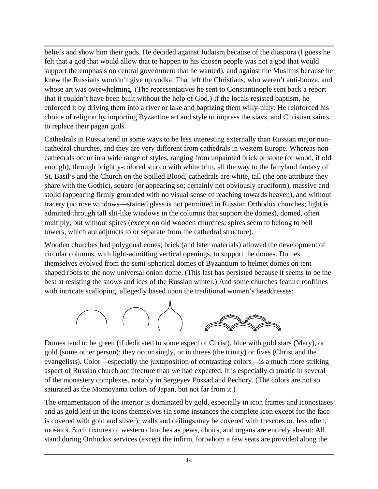beliefs and show him their gods. He decided against Judaism because of the diaspora (I guess he felt that a god that would allow that to happen to his chosen people was not a god that would support the emphasis on central government that he wanted), and against the Muslims because he knew the Russians wouldn't give up vodka. That left the Christians, who weren't anti-booze, and whose art was overwhelming. (The representatives he sent to Constantinople sent back a report that it couldn't have been built without the help of God.) If the locals resisted baptism, he enforced it by driving them into a river or lake and baptizing them willy-nilly. He reinforced his choice of religion by importing Byzantine art and style to impress the slavs, and Christian saints to replace their pagan gods.

Cathedrals in Russia tend in some ways to be less interesting externally than Russian major non cathedral churches, and they are very different from cathedrals in western Europe. Whereas non cathedrals occur in a wide range of styles, ranging from unpainted brick or stone (or wood, if old enough), through brightly-colored stucco with white trim, all the way to the fairyland fantasy of St. Basil's and the Church on the Spilled Blood, cathedrals are white, tall (the one attribute they share with the Gothic), square (or appearing so; certainly not obviously cruciform), massive and stolid (appearing firmly grounded with no visual sense of reaching towards heaven), and without tracery (no rose windows—stained glass is not permitted in Russian Orthodox churches; light is admitted through tall slit-like windows in the columns that support the domes), domed, often multiply, but without spires (except on old wooden churches; spires seem to belong to bell towers, which are adjuncts to or separate from the cathedral structure).

Wooden churches had polygonal cones; brick (and later materials) allowed the development of circular columns, with light-admitting vertical openings, to support the domes. Domes themselves evolved from the semi-spherical domes of Byzantium to helmet domes on tent shaped roofs to the now universal onion dome. (This last has persisted because it seems to be the best at resisting the snows and ices of the Russian winter.) And some churches feature rooflines with intricate scalloping, allegedly based upon the traditional women's headdresses:



Domes tend to be green (if dedicated to some aspect of Christ), blue with gold stars (Mary), or gold (some other person); they occur singly, or in threes (the trinity) or fives (Christ and the evangelists). Color—especially the juxtaposition of contrasting colors—is a much more striking aspect of Russian church architecture than we had expected. It is especially dramatic in several of the monastery complexes, notably in Sergeyev Possad and Pechory. (The colors are not so saturated as the Momoyama colors of Japan, but not far from it.)

The ornamentation of the interior is dominated by gold, especially in icon frames and iconostases and as gold leaf in the icons themselves (in some instances the complete icon except for the face is covered with gold and silver); walls and ceilings may be covered with frescoes or, less often, mosaics. Such fixtures of western churches as pews, choirs, and organs are entirely absent: All stand during Orthodox services (except the infirm, for whom a few seats are provided along the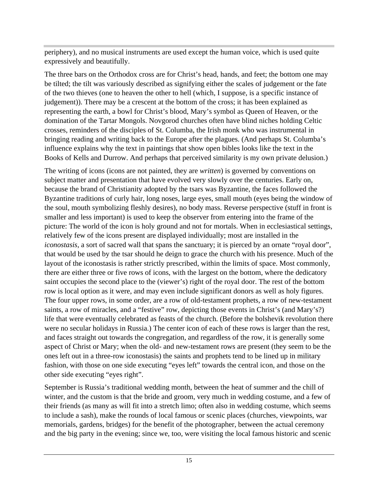periphery), and no musical instruments are used except the human voice, which is used quite expressively and beautifully.

The three bars on the Orthodox cross are for Christ's head, hands, and feet; the bottom one may be tilted; the tilt was variously described as signifying either the scales of judgement or the fate of the two thieves (one to heaven the other to hell (which, I suppose, is a specific instance of judgement)). There may be a crescent at the bottom of the cross; it has been explained as representing the earth, a bowl for Christ's blood, Mary's symbol as Queen of Heaven, or the domination of the Tartar Mongols. Novgorod churches often have blind niches holding Celtic crosses, reminders of the disciples of St. Columba, the Irish monk who was instrumental in bringing reading and writing back to the Europe after the plagues. (And perhaps St. Columba's influence explains why the text in paintings that show open bibles looks like the text in the Books of Kells and Durrow. And perhaps that perceived similarity is my own private delusion.)

The writing of icons (icons are not painted, they are *written*) is governed by conventions on subject matter and presentation that have evolved very slowly over the centuries. Early on, because the brand of Christianity adopted by the tsars was Byzantine, the faces followed the Byzantine traditions of curly hair, long noses, large eyes, small mouth (eyes being the window of the soul, mouth symbolizing fleshly desires), no body mass. Reverse perspective (stuff in front is smaller and less important) is used to keep the observer from entering into the frame of the picture: The world of the icon is holy ground and not for mortals. When in ecclesiastical settings, relatively few of the icons present are displayed individually; most are installed in the *iconostasis*, a sort of sacred wall that spans the sanctuary; it is pierced by an ornate "royal door", that would be used by the tsar should he deign to grace the church with his presence. Much of the layout of the iconostasis is rather strictly prescribed, within the limits of space. Most commonly, there are either three or five rows of icons, with the largest on the bottom, where the dedicatory saint occupies the second place to the (viewer's) right of the royal door. The rest of the bottom row is local option as it were, and may even include significant donors as well as holy figures. The four upper rows, in some order, are a row of old-testament prophets, a row of new-testament saints, a row of miracles, and a "festive" row, depicting those events in Christ's (and Mary's?) life that were eventually celebrated as feasts of the church. (Before the bolshevik revolution there were no secular holidays in Russia.) The center icon of each of these rows is larger than the rest, and faces straight out towards the congregation, and regardless of the row, it is generally some aspect of Christ or Mary; when the old- and new-testament rows are present (they seem to be the ones left out in a three-row iconostasis) the saints and prophets tend to be lined up in military fashion, with those on one side executing "eyes left" towards the central icon, and those on the other side executing "eyes right".

September is Russia's traditional wedding month, between the heat of summer and the chill of winter, and the custom is that the bride and groom, very much in wedding costume, and a few of their friends (as many as will fit into a stretch limo; often also in wedding costume, which seems to include a sash), make the rounds of local famous or scenic places (churches, viewpoints, war memorials, gardens, bridges) for the benefit of the photographer, between the actual ceremony and the big party in the evening; since we, too, were visiting the local famous historic and scenic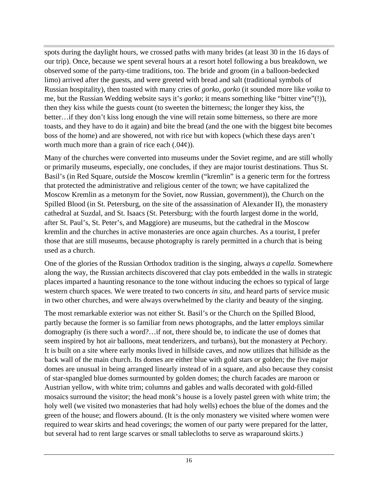spots during the daylight hours, we crossed paths with many brides (at least 30 in the 16 days of our trip). Once, because we spent several hours at a resort hotel following a bus breakdown, we observed some of the party-time traditions, too. The bride and groom (in a balloon-bedecked limo) arrived after the guests, and were greeted with bread and salt (traditional symbols of Russian hospitality), then toasted with many cries of *gorko, gorko* (it sounded more like *voika* to me, but the Russian Wedding website says it's *gorko*; it means something like "bitter vine"(!)), then they kiss while the guests count (to sweeten the bitterness; the longer they kiss, the better…if they don't kiss long enough the vine will retain some bitterness, so there are more toasts, and they have to do it again) and bite the bread (and the one with the biggest bite becomes boss of the home) and are showered, not with rice but with kopecs (which these days aren't worth much more than a grain of rice each  $(.04¢)$ ).

Many of the churches were converted into museums under the Soviet regime, and are still wholly or primarily museums, especially, one concludes, if they are major tourist destinations. Thus St. Basil's (in Red Square, *outside* the Moscow kremlin ("kremlin" is a generic term for the fortress that protected the administrative and religious center of the town; we have capitalized the Moscow Kremlin as a metonym for the Soviet, now Russian, government)), the Church on the Spilled Blood (in St. Petersburg, on the site of the assassination of Alexander II), the monastery cathedral at Suzdal, and St. Isaacs (St. Petersburg; with the fourth largest dome in the world, after St. Paul's, St. Peter's, and Maggiore) are museums, but the cathedral in the Moscow kremlin and the churches in active monasteries are once again churches. As a tourist, I prefer those that are still museums, because photography is rarely permitted in a church that is being used as a church.

One of the glories of the Russian Orthodox tradition is the singing, always *a capella*. Somewhere along the way, the Russian architects discovered that clay pots embedded in the walls in strategic places imparted a haunting resonance to the tone without inducing the echoes so typical of large western church spaces. We were treated to two concerts *in situ*, and heard parts of service music in two other churches, and were always overwhelmed by the clarity and beauty of the singing.

The most remarkable exterior was not either St. Basil's or the Church on the Spilled Blood, partly because the former is so familiar from news photographs, and the latter employs similar domography (is there such a word?…if not, there should be, to indicate the use of domes that seem inspired by hot air balloons, meat tenderizers, and turbans), but the monastery at Pechory. It is built on a site where early monks lived in hillside caves, and now utilizes that hillside as the back wall of the main church. Its domes are either blue with gold stars or golden; the five major domes are unusual in being arranged linearly instead of in a square, and also because they consist of star-spangled blue domes surmounted by golden domes; the church facades are maroon or Austrian yellow, with white trim; columns and gables and walls decorated with gold-filled mosaics surround the visitor; the head monk's house is a lovely pastel green with white trim; the holy well (we visited two monasteries that had holy wells) echoes the blue of the domes and the green of the house; and flowers abound. (It is the only monastery we visited where women were required to wear skirts and head coverings; the women of our party were prepared for the latter, but several had to rent large scarves or small tablecloths to serve as wraparound skirts.)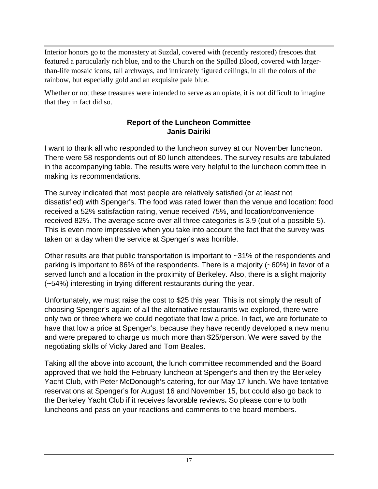Interior honors go to the monastery at Suzdal, covered with (recently restored) frescoes that featured a particularly rich blue, and to the Church on the Spilled Blood, covered with largerthan-life mosaic icons, tall archways, and intricately figured ceilings, in all the colors of the rainbow, but especially gold and an exquisite pale blue.

Whether or not these treasures were intended to serve as an opiate, it is not difficult to imagine that they in fact did so.

# **Report of the Luncheon Committee Janis Dairiki**

I want to thank all who responded to the luncheon survey at our November luncheon. There were 58 respondents out of 80 lunch attendees. The survey results are tabulated in the accompanying table. The results were very helpful to the luncheon committee in making its recommendations.

The survey indicated that most people are relatively satisfied (or at least not dissatisfied) with Spenger's. The food was rated lower than the venue and location: food received a 52% satisfaction rating, venue received 75%, and location/convenience received 82%. The average score over all three categories is 3.9 (out of a possible 5). This is even more impressive when you take into account the fact that the survey was taken on a day when the service at Spenger's was horrible.

Other results are that public transportation is important to ~31% of the respondents and parking is important to 86% of the respondents. There is a majority (~60%) in favor of a served lunch and a location in the proximity of Berkeley. Also, there is a slight majority (~54%) interesting in trying different restaurants during the year.

Unfortunately, we must raise the cost to \$25 this year. This is not simply the result of choosing Spenger's again: of all the alternative restaurants we explored, there were only two or three where we could negotiate that low a price. In fact, we are fortunate to have that low a price at Spenger's, because they have recently developed a new menu and were prepared to charge us much more than \$25/person. We were saved by the negotiating skills of Vicky Jared and Tom Beales.

Taking all the above into account, the lunch committee recommended and the Board approved that we hold the February luncheon at Spenger's and then try the Berkeley Yacht Club, with Peter McDonough's catering, for our May 17 lunch. We have tentative reservations at Spenger's for August 16 and November 15, but could also go back to the Berkeley Yacht Club if it receives favorable reviews**.** So please come to both luncheons and pass on your reactions and comments to the board members.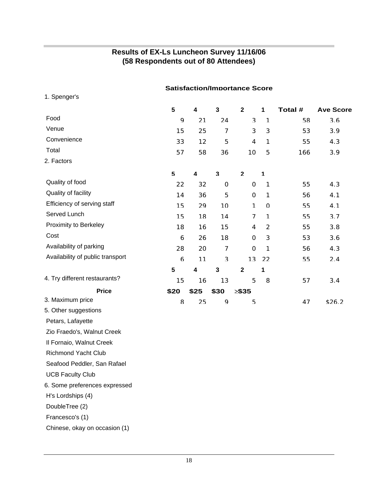# **Results of EX-Ls Luncheon Survey 11/16/06 (58 Respondents out of 80 Attendees)**

 **Satisfaction/Importance Score** 

| 1. Spenger's                     |                                                                  |                        |                  |
|----------------------------------|------------------------------------------------------------------|------------------------|------------------|
|                                  | $5 \quad 4$<br>$\mathbf{R}$<br>$\overline{2}$<br>$\blacksquare$  | Total #                | <b>Ave Score</b> |
| Food                             | 24<br>21<br>$\mathbf{3}$<br>9                                    | 58<br>$\blacksquare$   | 3.6              |
| Venue                            | 25<br>15<br>$3 \overline{3}$                                     | 53                     | 3.9              |
| Convenience                      | 33<br>$4 \quad 1$<br>12                                          | 55                     | 4.3              |
| Total                            | 57<br>10<br>58<br>36                                             | 166<br>$5\overline{)}$ | 3.9              |
| 2. Factors                       |                                                                  |                        |                  |
|                                  | $5 \qquad 4$<br>$\mathbf{3}$<br>$2 \quad 1$                      |                        |                  |
| Quality of food                  | 22<br>$\Omega$<br>32<br>$\Omega$                                 | 55                     | 4.3              |
| Quality of facility              | 36<br>$\Omega$<br>14                                             | 56<br>$\blacksquare$   | 4.1              |
| Efficiency of serving staff      | 15<br>29<br>$1 \quad \Omega$<br>10                               | 55                     | 4.1              |
| Served Lunch                     | 15<br>$7 \quad 1$<br>14<br>18                                    | 55                     | 3.7              |
| Proximity to Berkeley            | 18<br>15<br>$4\quad 2$<br>16                                     | 55                     | 3.8              |
| Cost                             | $0 \quad 3$<br>18<br>26<br>6                                     | 53                     | 3.6              |
| Availability of parking          | 28<br>20<br>$\overline{O}$                                       | 56<br>$\blacksquare$   | 4.3              |
| Availability of public transport | 13 22<br>6<br>$-11$                                              | 55                     | 2.4              |
|                                  | $5 \qquad 4$<br>$\blacksquare$<br>$\overline{2}$<br>$\mathbf{3}$ |                        |                  |
| 4. Try different restaurants?    | 5 <sub>8</sub><br>15<br>13<br>16                                 | 57                     | 3.4              |
| <b>Price</b>                     | $$20$ $$25$ $$30$ $\geq$ \$35                                    |                        |                  |
| 3. Maximum price                 | 25<br>8<br>- 5<br>$\mathsf Q$                                    | 47                     | \$26.2           |
| 5. Other suggestions             |                                                                  |                        |                  |
| Petars, Lafayette                |                                                                  |                        |                  |
| Zio Fraedo's, Walnut Creek       |                                                                  |                        |                  |
| Il Fornaio, Walnut Creek         |                                                                  |                        |                  |
| Richmond Yacht Club              |                                                                  |                        |                  |
| Seafood Peddler, San Rafael      |                                                                  |                        |                  |
| <b>UCB Faculty Club</b>          |                                                                  |                        |                  |
| 6. Some preferences expressed    |                                                                  |                        |                  |
| H's Lordships (4)                |                                                                  |                        |                  |
| DoubleTree (2)                   |                                                                  |                        |                  |
| Francesco's (1)                  |                                                                  |                        |                  |
| Chinese, okay on occasion (1)    |                                                                  |                        |                  |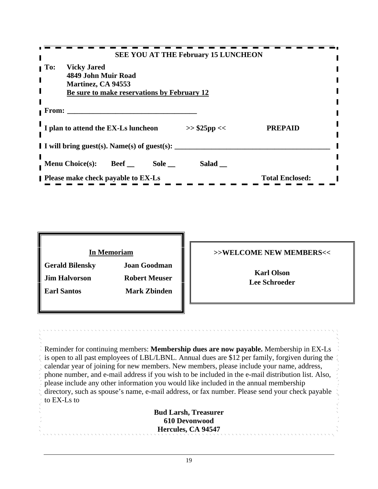| <b>SEE YOU AT THE February 15 LUNCHEON</b>                    |                        |  |
|---------------------------------------------------------------|------------------------|--|
| <b>To:</b> Vicky Jared<br>4849 John Muir Road                 |                        |  |
| Martinez, CA 94553                                            |                        |  |
| Be sure to make reservations by February 12                   |                        |  |
| From:                                                         |                        |  |
| I plan to attend the EX-Ls luncheon<br>$>>$ \$25pp <<         | <b>PREPAID</b>         |  |
| I I will bring guest(s). Name(s) of guest(s):                 |                        |  |
| <b>Menu Choice(s):</b> Beef $\_\_$<br>Salad $\_$<br>Sole $\_$ |                        |  |
| Please make check payable to EX-Ls                            | <b>Total Enclosed:</b> |  |

| <b>In Memoriam</b><br>>>WELCOME NEW MEMBERS<<                                                                                                                                           |
|-----------------------------------------------------------------------------------------------------------------------------------------------------------------------------------------|
| <b>Gerald Bilensky</b><br><b>Joan Goodman</b><br><b>Karl Olson</b><br><b>Robert Meuser</b><br><b>Jim Halvorson</b><br><b>Lee Schroeder</b><br><b>Earl Santos</b><br><b>Mark Zbinden</b> |

Reminder for continuing members: **Membership dues are now payable.** Membership in EX-Ls is open to all past employees of LBL/LBNL. Annual dues are \$12 per family, forgiven during the calendar year of joining for new members. New members, please include your name, address, phone number, and e-mail address if you wish to be included in the e-mail distribution list. Also, please include any other information you would like included in the annual membership directory, such as spouse's name, e-mail address, or fax number. Please send your check payable to EX-Ls to  $\overline{X}$ 

> **Bud Larsh, Treasurer 610 Devonwood Hercules, CA 94547**